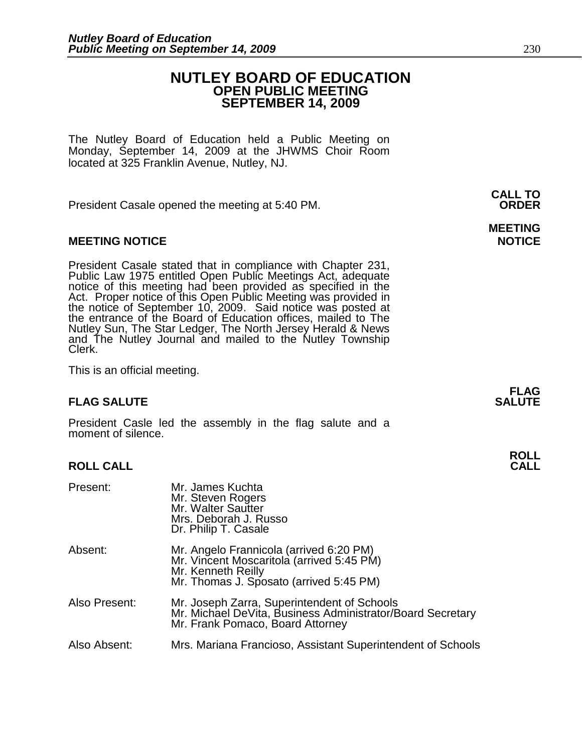# **NUTLEY BOARD OF EDUCATION OPEN PUBLIC MEETING SEPTEMBER 14, 2009**

The Nutley Board of Education held a Public Meeting on Monday, September 14, 2009 at the JHWMS Choir Room located at 325 Franklin Avenue, Nutley, NJ.

 **CALL TO**  President Casale opened the meeting at 5:40 PM. **ORDER**

# **MEETING NOTICE NOTICE**

President Casale stated that in compliance with Chapter 231, Public Law 1975 entitled Open Public Meetings Act, adequate notice of this meeting had been provided as specified in the Act. Proper notice of this Open Public Meeting was provided in the notice of September 10, 2009. Said notice was posted at the entrance of the Board of Education offices, mailed to The Nutley Sun, The Star Ledger, The North Jersey Herald & News and The Nutley Journal and mailed to the Nutley Township Clerk.

This is an official meeting.

# **FLAG SALUTE** SALUTE SALUTE SALUTE SALUTE SALUTE

President Casle led the assembly in the flag salute and a moment of silence.

# **ROLL CALL**

| Present:      | Mr. James Kuchta<br>Mr. Steven Rogers<br>Mr. Walter Sautter<br>Mrs. Deborah J. Russo<br>Dr. Philip T. Casale                                          |
|---------------|-------------------------------------------------------------------------------------------------------------------------------------------------------|
| Absent:       | Mr. Angelo Frannicola (arrived 6:20 PM)<br>Mr. Vincent Moscaritola (arrived 5:45 PM)<br>Mr. Kenneth Reilly<br>Mr. Thomas J. Sposato (arrived 5:45 PM) |
| Also Present: | Mr. Joseph Zarra, Superintendent of Schools<br>Mr. Michael DeVita, Business Administrator/Board Secretary<br>Mr. Frank Pomaco, Board Attorney         |
| Also Absent:  | Mrs. Mariana Francioso, Assistant Superintendent of Schools                                                                                           |

# **MEETING**

**FLAG**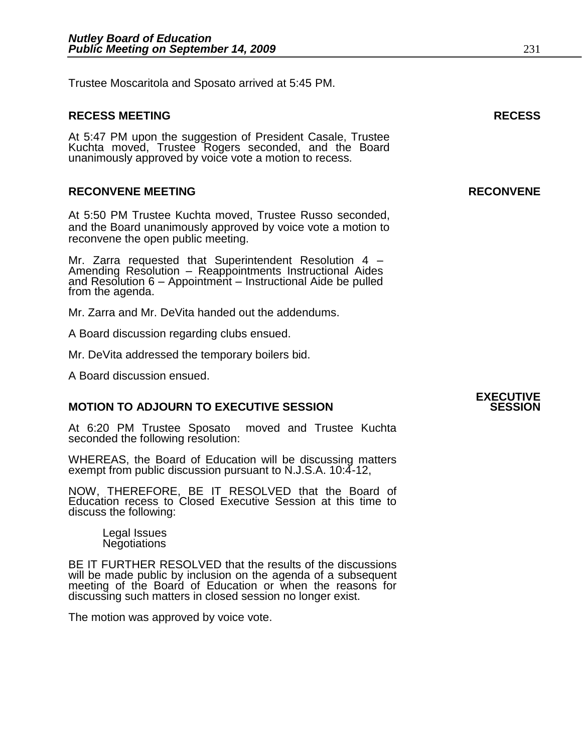Trustee Moscaritola and Sposato arrived at 5:45 PM.

# **RECESS MEETING RECESS**

At 5:47 PM upon the suggestion of President Casale, Trustee Kuchta moved, Trustee Rogers seconded, and the Board unanimously approved by voice vote a motion to recess.

# **RECONVENE MEETING RECONVENE**

At 5:50 PM Trustee Kuchta moved, Trustee Russo seconded, and the Board unanimously approved by voice vote a motion to reconvene the open public meeting.

Mr. Zarra requested that Superintendent Resolution 4 – Amending Resolution – Reappointments Instructional Aides and Resolution 6 – Appointment – Instructional Aide be pulled from the agenda.

Mr. Zarra and Mr. DeVita handed out the addendums.

A Board discussion regarding clubs ensued.

Mr. DeVita addressed the temporary boilers bid.

A Board discussion ensued.

# **MOTION TO ADJOURN TO EXECUTIVE SESSION**

At 6:20 PM Trustee Sposato moved and Trustee Kuchta seconded the following resolution:

WHEREAS, the Board of Education will be discussing matters exempt from public discussion pursuant to N.J.S.A. 10:4-12,

NOW, THEREFORE, BE IT RESOLVED that the Board of Education recess to Closed Executive Session at this time to discuss the following:

> Legal Issues **Negotiations**

BE IT FURTHER RESOLVED that the results of the discussions will be made public by inclusion on the agenda of a subsequent meeting of the Board of Education or when the reasons for discussing such matters in closed session no longer exist.

The motion was approved by voice vote.

# **EXECUTIVE**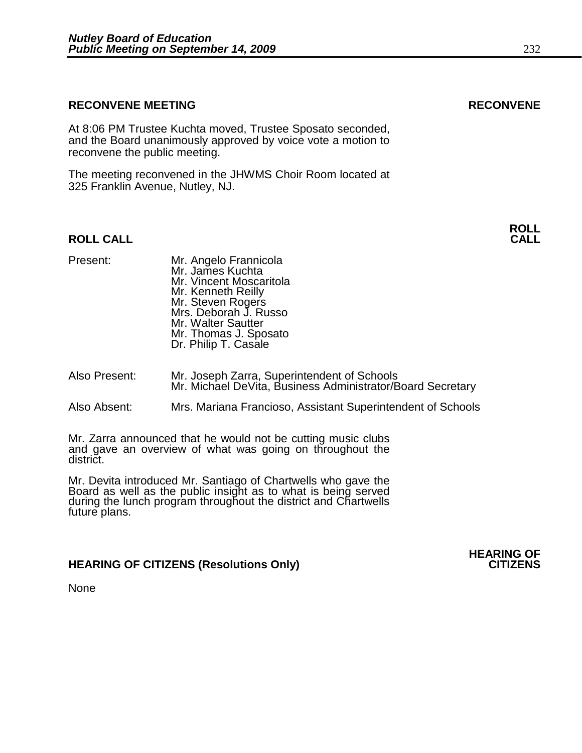# **RECONVENE MEETING RECONVENE**

At 8:06 PM Trustee Kuchta moved, Trustee Sposato seconded, and the Board unanimously approved by voice vote a motion to reconvene the public meeting.

The meeting reconvened in the JHWMS Choir Room located at 325 Franklin Avenue, Nutley, NJ.

# **ROLL CALL CALL**

Present: Mr. Angelo Frannicola Mr. James Kuchta Mr. Vincent Moscaritola Mr. Kenneth Reilly Mr. Steven Rogers Mrs. Deborah J. Russo Mr. Walter Sautter Mr. Thomas J. Sposato Dr. Philip T. Casale

- Also Present: Mr. Joseph Zarra, Superintendent of Schools Mr. Michael DeVita, Business Administrator/Board Secretary
- Also Absent: Mrs. Mariana Francioso, Assistant Superintendent of Schools

Mr. Zarra announced that he would not be cutting music clubs and gave an overview of what was going on throughout the district.

Mr. Devita introduced Mr. Santiago of Chartwells who gave the Board as well as the public insight as to what is being served during the lunch program throughout the district and Chartwells future plans.

# **HEARING OF CITIZENS (Resolutions Only)**

**None** 

**ROLL** 

**HEARING OF**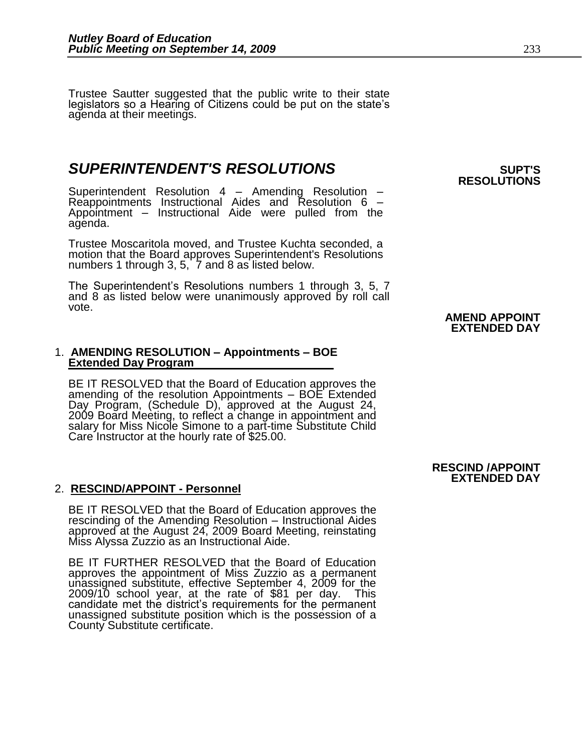Trustee Sautter suggested that the public write to their state legislators so a Hearing of Citizens could be put on the state's agenda at their meetings.

# **SUPERINTENDENT'S RESOLUTIONS** *SUPERINTENDENT'S*

Superintendent Resolution 4 – Amending Resolution – Reappointments Instructional Aides and Resolution 6 – Appointment – Instructional Aide were pulled from the agenda.

Trustee Moscaritola moved, and Trustee Kuchta seconded, a motion that the Board approves Superintendent's Resolutions numbers 1 through 3, 5, 7 and 8 as listed below.

The Superintendent's Resolutions numbers 1 through 3, 5, 7 and 8 as listed below were unanimously approved by roll call vote.

## 1. **AMENDING RESOLUTION – Appointments – BOE Extended Day Program**

BE IT RESOLVED that the Board of Education approves the amending of the resolution Appointments – BOE Extended Day Program, (Schedule D), approved at the August 24, 2009 Board Meeting, to reflect a change in appointment and salary for Miss Nicole Simone to a part-time Substitute Child Care Instructor at the hourly rate of \$25.00.

# 2. **RESCIND/APPOINT - Personnel**

BE IT RESOLVED that the Board of Education approves the rescinding of the Amending Resolution – Instructional Aides approved at the August 24, 2009 Board Meeting, reinstating Miss Alyssa Zuzzio as an Instructional Aide.

BE IT FURTHER RESOLVED that the Board of Education approves the appointment of Miss Zuzzio as a permanent unassigned substitute, effective September 4, 2009 for the 2009/10 school year, at the rate of \$81 per day. This candidate met the district's requirements for the permanent unassigned substitute position which is the possession of a County Substitute certificate.

# **RESOLUTIONS**

# **AMEND APPOINT EXTENDED DAY**

### **RESCIND /APPOINT EXTENDED DAY**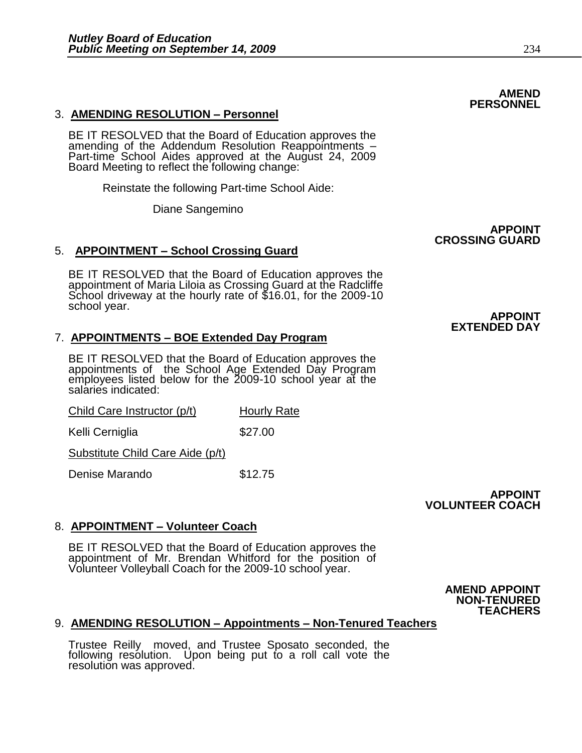# 3. **AMENDING RESOLUTION – Personnel**

BE IT RESOLVED that the Board of Education approves the amending of the Addendum Resolution Reappointments – Part-time School Aides approved at the August 24, 2009 Board Meeting to reflect the following change:

Reinstate the following Part-time School Aide:

Diane Sangemino

# 5. **APPOINTMENT – School Crossing Guard**

BE IT RESOLVED that the Board of Education approves the appointment of Maria Liloia as Crossing Guard at the Radcliffe School driveway at the hourly rate of \$16.01, for the 2009-10 school year.

# 7. **APPOINTMENTS – BOE Extended Day Program**

BE IT RESOLVED that the Board of Education approves the appointments of the School Age Extended Day Program employees listed below for the 2009-10 school year at the salaries indicated:

Child Care Instructor (p/t) Hourly Rate

Kelli Cerniglia **\$27.00** 

Substitute Child Care Aide (p/t)

Denise Marando \$12.75

# 8. **APPOINTMENT – Volunteer Coach**

BE IT RESOLVED that the Board of Education approves the appointment of Mr. Brendan Whitford for the position of Volunteer Volleyball Coach for the 2009-10 school year.

> **AMEND APPOINT NON-TENURED TEACHERS**

**VOLUNTEER COACH**

**APPOINT** 

# 9. **AMENDING RESOLUTION – Appointments – Non-Tenured Teachers**

Trustee Reilly moved, and Trustee Sposato seconded, the following resolution. Upon being put to a roll call vote the resolution was approved.

 **APPOINT**

# **CROSSING GUARD**

 **APPOINT EXTENDED DAY**

**AMEND PERSONNEL**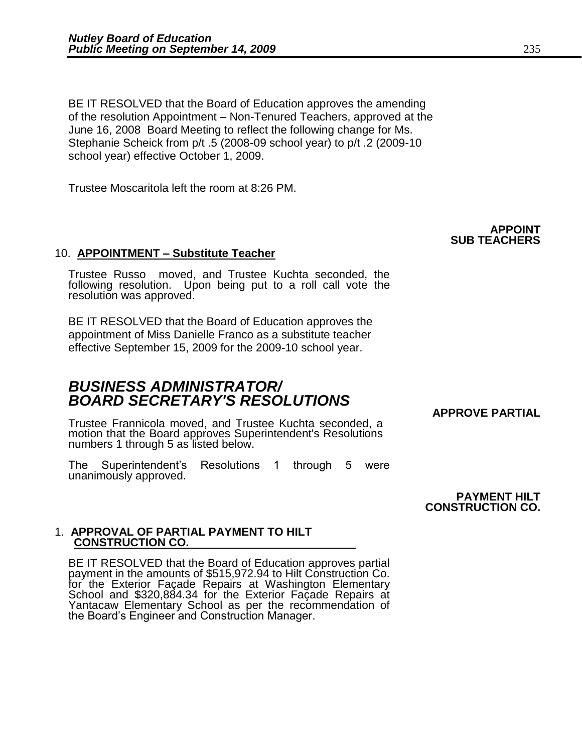BE IT RESOLVED that the Board of Education approves the amending of the resolution Appointment – Non-Tenured Teachers, approved at the June 16, 2008 Board Meeting to reflect the following change for Ms. Stephanie Scheick from p/t .5 (2008-09 school year) to p/t .2 (2009-10 school year) effective October 1, 2009.

Trustee Moscaritola left the room at 8:26 PM.

# 10. **APPOINTMENT – Substitute Teacher**

Trustee Russo moved, and Trustee Kuchta seconded, the following resolution. Upon being put to a roll call vote the resolution was approved.

BE IT RESOLVED that the Board of Education approves the appointment of Miss Danielle Franco as a substitute teacher effective September 15, 2009 for the 2009-10 school year.

# *BUSINESS ADMINISTRATOR/ BOARD SECRETARY'S RESOLUTIONS*

Trustee Frannicola moved, and Trustee Kuchta seconded, a motion that the Board approves Superintendent's Resolutions numbers 1 through 5 as listed below.

The Superintendent's Resolutions 1 through 5 were unanimously approved.

> **PAYMENT HILT CONSTRUCTION CO.**

 **APPROVE PARTIAL** 

# 1. **APPROVAL OF PARTIAL PAYMENT TO HILT CONSTRUCTION CO.**

BE IT RESOLVED that the Board of Education approves partial payment in the amounts of \$515,972.94 to Hilt Construction Co. for the Exterior Façade Repairs at Washington Elementary School and \$320,884.34 for the Exterior Façade Repairs at Yantacaw Elementary School as per the recommendation of the Board's Engineer and Construction Manager.

 **APPOINT SUB TEACHERS**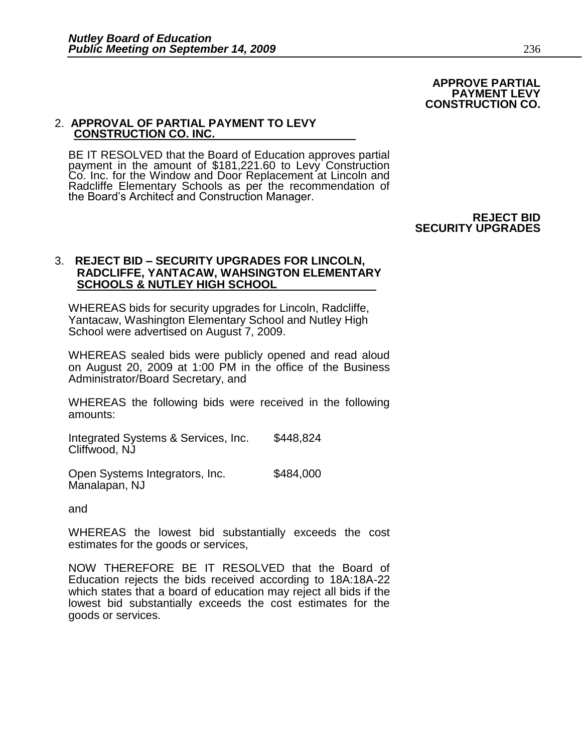### **APPROVE PARTIAL PAYMENT LEVY CONSTRUCTION CO.**

# 2. **APPROVAL OF PARTIAL PAYMENT TO LEVY CONSTRUCTION CO. INC.**

BE IT RESOLVED that the Board of Education approves partial payment in the amount of \$181,221.60 to Levy Construction Co. Inc. for the Window and Door Replacement at Lincoln and Radcliffe Elementary Schools as per the recommendation of the Board's Architect and Construction Manager.

> **REJECT BID SECURITY UPGRADES**

# 3. **REJECT BID – SECURITY UPGRADES FOR LINCOLN, RADCLIFFE, YANTACAW, WAHSINGTON ELEMENTARY SCHOOLS & NUTLEY HIGH SCHOOL**

WHEREAS bids for security upgrades for Lincoln, Radcliffe, Yantacaw, Washington Elementary School and Nutley High School were advertised on August 7, 2009.

WHEREAS sealed bids were publicly opened and read aloud on August 20, 2009 at 1:00 PM in the office of the Business Administrator/Board Secretary, and

WHEREAS the following bids were received in the following amounts:

Integrated Systems & Services, Inc. \$448,824 Cliffwood, NJ

Open Systems Integrators, Inc. \$484,000 Manalapan, NJ

and

WHEREAS the lowest bid substantially exceeds the cost estimates for the goods or services,

NOW THEREFORE BE IT RESOLVED that the Board of Education rejects the bids received according to 18A:18A-22 which states that a board of education may reject all bids if the lowest bid substantially exceeds the cost estimates for the goods or services.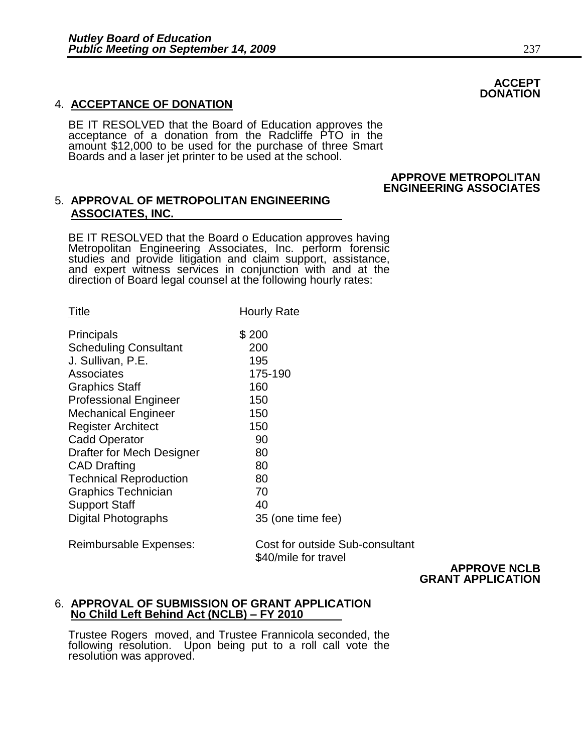# 4. **ACCEPTANCE OF DONATION**

BE IT RESOLVED that the Board of Education approves the acceptance of a donation from the Radcliffe PTO in the amount \$12,000 to be used for the purchase of three Smart Boards and a laser jet printer to be used at the school.

## **APPROVE METROPOLITAN ENGINEERING ASSOCIATES**

# 5. **APPROVAL OF METROPOLITAN ENGINEERING ASSOCIATES, INC.**

BE IT RESOLVED that the Board o Education approves having Metropolitan Engineering Associates, Inc. perform forensic studies and provide litigation and claim support, assistance, and expert witness services in conjunction with and at the direction of Board legal counsel at the following hourly rates:

| Title                            | <b>Hourly Rate</b> |
|----------------------------------|--------------------|
| Principals                       | \$200              |
| <b>Scheduling Consultant</b>     | 200                |
| J. Sullivan, P.E.                | 195                |
| Associates                       | 175-190            |
| <b>Graphics Staff</b>            | 160                |
| <b>Professional Engineer</b>     | 150                |
| <b>Mechanical Engineer</b>       | 150                |
| <b>Register Architect</b>        | 150                |
| <b>Cadd Operator</b>             | 90                 |
| <b>Drafter for Mech Designer</b> | 80                 |
| <b>CAD Drafting</b>              | 80                 |
| <b>Technical Reproduction</b>    | 80                 |
| <b>Graphics Technician</b>       | 70                 |
| <b>Support Staff</b>             | 40                 |
| Digital Photographs              | 35 (one time fee)  |

Reimbursable Expenses: Cost for outside Sub-consultant \$40/mile for travel

 **APPROVE NCLB GRANT APPLICATION**

# 6. **APPROVAL OF SUBMISSION OF GRANT APPLICATION No Child Left Behind Act (NCLB) – FY 2010**

Trustee Rogers moved, and Trustee Frannicola seconded, the following resolution. Upon being put to a roll call vote the resolution was approved.

# **ACCEPT DONATION**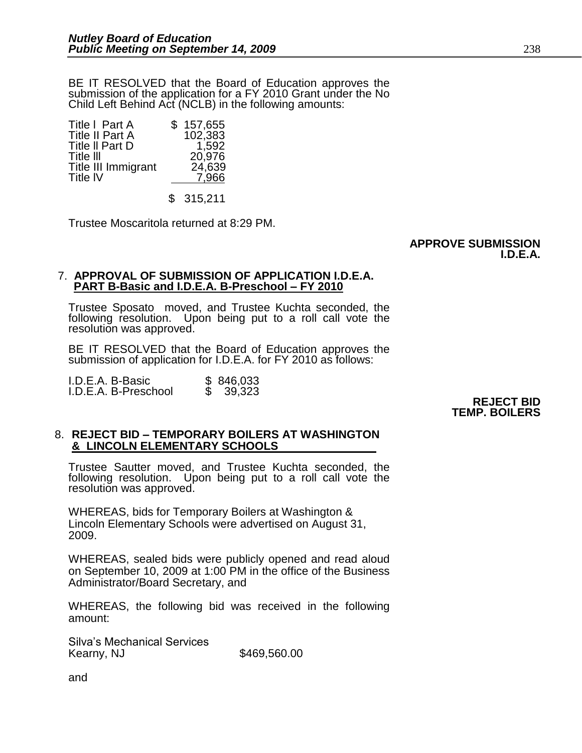BE IT RESOLVED that the Board of Education approves the submission of the application for a FY 2010 Grant under the No Child Left Behind Act (NCLB) in the following amounts:

| Title I Part A         | \$157,655 |
|------------------------|-----------|
| <b>Title II Part A</b> | 102,383   |
| Title II Part D        | 1,592     |
| Title III              | 20,976    |
| Title III Immigrant    | 24,639    |
| Title IV               | 7,966     |
|                        |           |

\$ 315,211

Trustee Moscaritola returned at 8:29 PM.

### **APPROVE SUBMISSION I.D.E.A.**

# 7. **APPROVAL OF SUBMISSION OF APPLICATION I.D.E.A. PART B-Basic and I.D.E.A. B-Preschool – FY 2010**

Trustee Sposato moved, and Trustee Kuchta seconded, the following resolution. Upon being put to a roll call vote the resolution was approved.

BE IT RESOLVED that the Board of Education approves the submission of application for I.D.E.A. for FY 2010 as follows:

I.D.E.A. B-Basic \$ 846,033 I.D.E.A. B-Preschool \$ 39,323

 **REJECT BID TEMP. BOILERS**

# 8. **REJECT BID – TEMPORARY BOILERS AT WASHINGTON & LINCOLN ELEMENTARY SCHOOLS**

Trustee Sautter moved, and Trustee Kuchta seconded, the following resolution. Upon being put to a roll call vote the resolution was approved.

WHEREAS, bids for Temporary Boilers at Washington & Lincoln Elementary Schools were advertised on August 31, 2009.

WHEREAS, sealed bids were publicly opened and read aloud on September 10, 2009 at 1:00 PM in the office of the Business Administrator/Board Secretary, and

WHEREAS, the following bid was received in the following amount:

Silva's Mechanical Services Kearny, NJ \$469,560.00

and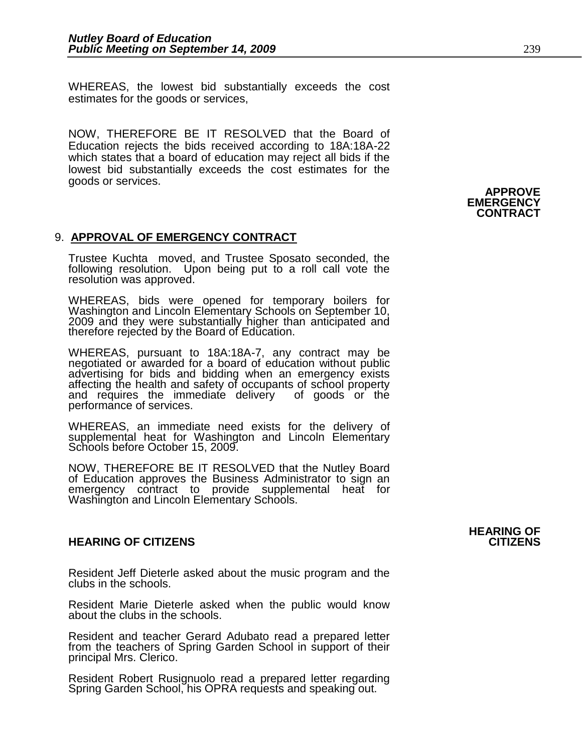WHEREAS, the lowest bid substantially exceeds the cost estimates for the goods or services,

NOW, THEREFORE BE IT RESOLVED that the Board of Education rejects the bids received according to 18A:18A-22 which states that a board of education may reject all bids if the lowest bid substantially exceeds the cost estimates for the goods or services.

# 9. **APPROVAL OF EMERGENCY CONTRACT**

Trustee Kuchta moved, and Trustee Sposato seconded, the following resolution. Upon being put to a roll call vote the resolution was approved.

WHEREAS, bids were opened for temporary boilers for Washington and Lincoln Elementary Schools on September 10, 2009 and they were substantially higher than anticipated and therefore rejected by the Board of Education.

WHEREAS, pursuant to 18A:18A-7, any contract may be negotiated or awarded for a board of education without public advertising for bids and bidding when an emergency exists affecting the health and safety of occupants of school property and requires the immediate delivery of goods or the performance of services.

WHEREAS, an immediate need exists for the delivery of supplemental heat for Washington and Lincoln Elementary Schools before October 15, 2009.

NOW, THEREFORE BE IT RESOLVED that the Nutley Board of Education approves the Business Administrator to sign an emergency contract to provide supplemental heat for Washington and Lincoln Elementary Schools.

# **HEARING OF CITIZENS CITIZENS**

Resident Jeff Dieterle asked about the music program and the clubs in the schools.

Resident Marie Dieterle asked when the public would know about the clubs in the schools.

Resident and teacher Gerard Adubato read a prepared letter from the teachers of Spring Garden School in support of their principal Mrs. Clerico.

Resident Robert Rusignuolo read a prepared letter regarding Spring Garden School, his OPRA requests and speaking out.